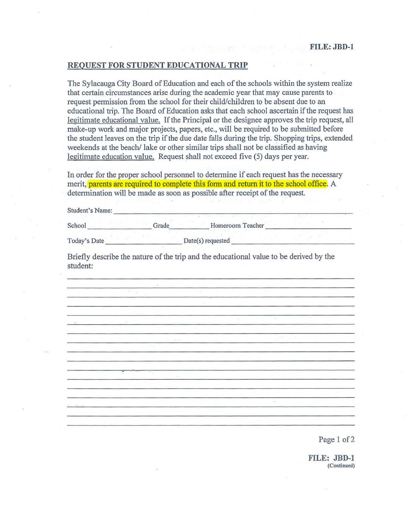## **REQUEST FOR STUDENT EDUCATIONAL TRIP**

The Sylacauga City Board of Education and each of the schools within the system realize that certain circumstances arise during the academic year that may cause parents to request permission from the school for their child/children to be absent due to an educational trip. The Board of Education asks that each school ascertain if the request has legitimate educational value. If the Principal or the designee approves the trip request, all make-up work and major projects, papers, etc., will be required to be submitted before the student leaves on the trip if the due date falls during the trip. Shopping trips, extended weekends at the beach/ lake or other similar trips shall not be classified as having legitimate education value. Request shall not exceed five (5) days per year.

In order for the proper school personnel to determine if each request has the necessary merit, parents are required to complete this form and return it to the school office. A determination will be made as soon as possible after receipt of the request.

Student's Name:

School \_ \_ \_ \_ \_\_\_\_ Grade. \_ \_ \_\_\_ Homeroom Teacher----------

Today's Date \_\_\_\_\_\_\_\_\_ Date(s) requested--------------

Briefly describe the nature of the trip and the educational value to be derived by the student:

Page 1 of 2

**FILE: JBD-1**  (Continued)